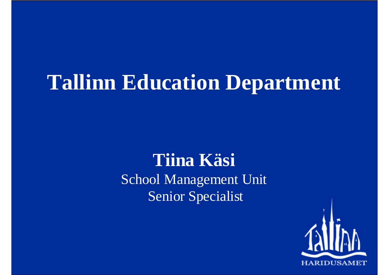### **Tallinn Education Department**

#### **Tiina Käsi** School Management Unit Senior Specialist

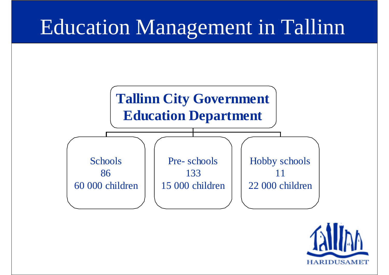# Education Management in Tallinn



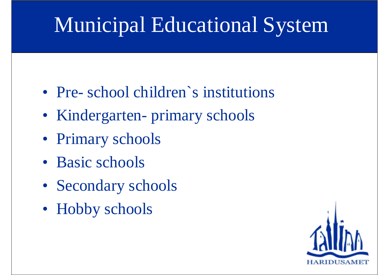# Municipal Educational System

- Pre- school children's institutions
- Kindergarten- primary schools
- Primary schools
- Basic schools
- Secondary schools
- Hobby schools

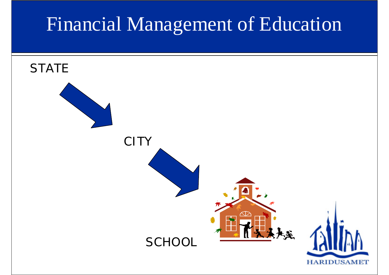### Financial Management of Education

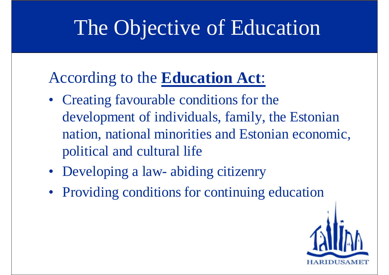## The Objective of Education

#### According to the **Education Act**:

- Creating favourable conditions for the development of individuals, family, the Estonian nation, national minorities and Estonian economic, political and cultural life
- Developing a law- abiding citizenry
- Providing conditions for continuing education

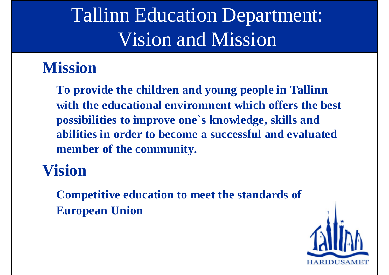### Tallinn Education Department: Vision and Mission

#### **Mission**

**To provide the children and young people in Tallinn with the educational environment which offers the best possibilities to improve one`s knowledge, skills and abilities in order to become a successful and evaluated member of the community.**

#### **Vision**

**Competitive education to meet the standards of European Union**

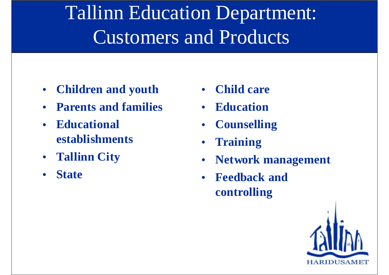## Tallinn Education Department: Customers and Products

- $\bullet$ **Children and youth**
- $\bullet$ **Parents and families**
- $\bullet$  **Educational establishments**
- **Tallinn City**
- $\bullet$ **State**
- •**Child care**
- **Education**
- •**Counselling**
- •**Training**
- •**Network management**
- **Feedback and controlling**

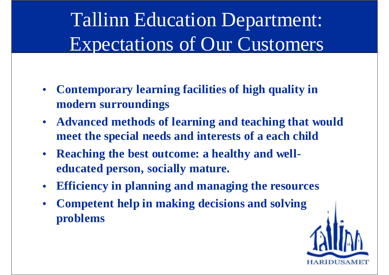### Tallinn Education Department: Expectations of Our Customers

- $\bullet$  **Contemporary learning facilities of high quality in modern surroundings**
- $\bullet$  **Advanced methods of learning and teaching that would meet the special needs and interests of a each child**
- $\bullet$  **Reaching the best outcome: a healthy and welleducated person, socially mature.**
- $\bullet$ **Efficiency in planning and managing the resources**
- $\bullet$  **Competent help in making decisions and solving problems**

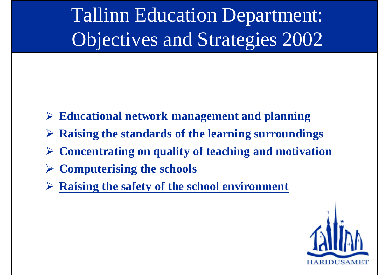Tallinn Education Department: Objectives and Strategies 2002

- ! **Educational network management and planning**
- ! **Raising the standards of the learning surroundings**
- ! **Concentrating on quality of teaching and motivation**
- ! **Computerising the schools**
- ! **Raising the safety of the school environment**

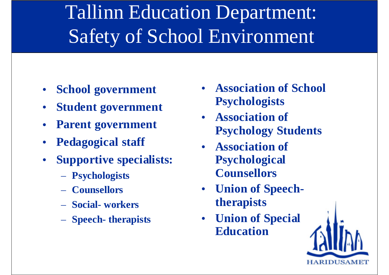## Tallinn Education Department: Safety of School Environment

- $\bullet$ **School government**
- $\bullet$ **Student government**
- $\bullet$ **Parent government**
- $\bullet$ **Pedagogical staff**
- • **Supportive specialists:**
	- **Psychologists**
	- **Counsellors**
	- **Social- workers**
	- **Speech- therapists**
- **Association of School Psychologists**
- **Association of Psychology Students**
- **Association of Psychological Counsellors**
- **Union of Speechtherapists**
- **Union of Special Education**